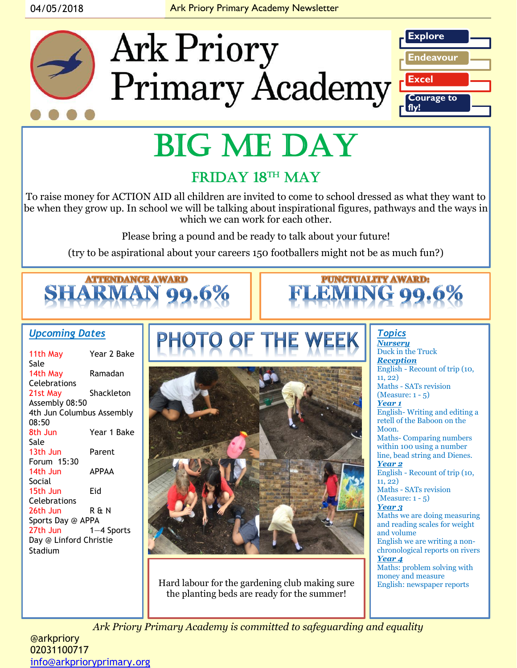#### 04/05/2018 **Ark Priory Primary Academy Newsletter**



# BIG ME DAY

### FRIDAY 18<sup>TH</sup> MAY

To raise money for ACTION AID all children are invited to come to school dressed as what they want to be when they grow up. In school we will be talking about inspirational figures, pathways and the ways in which we can work for each other.

Please bring a pound and be ready to talk about your future!

(try to be aspirational about your careers 150 footballers might not be as much fun?)



#### *Upcoming Dates*

| 11th May                  | Year 2 Bake  |
|---------------------------|--------------|
| Sale                      |              |
| 14th May                  | Ramadan      |
| <b>Celebrations</b>       |              |
| 21st May                  | Shackleton   |
| Assembly 08:50            |              |
| 4th Jun Columbus Assembly |              |
| 08:50                     |              |
| 8th Jun                   | Year 1 Bake  |
| Sale                      |              |
| 13th Jun                  | Parent       |
| Forum 15:30               |              |
| 14th Jun                  | <b>APPAA</b> |
| Social                    |              |
| 15th Jun                  | Eid          |
| Celebrations              |              |
| 26th Jun                  | R & N        |
| Sports Day @ APPA         |              |
| 27th Jun                  | $1-4$ Sports |
| Day @ Linford Christie    |              |
| Stadium                   |              |
|                           |              |



Hard labour for the gardening club making sure the planting beds are ready for the summer!

*Topics Nursery* Duck in the Truck *Reception*  English - Recount of trip (10, 11, 22) Maths - SATs revision (Measure: 1 - 5) *Year 1* English- Writing and editing a retell of the Baboon on the Moon. Maths- Comparing numbers within 100 using a number line, bead string and Dienes. *Year 2* English - Recount of trip (10, 11, 22) Maths - SATs revision (Measure: 1 - 5) *Year 3* Maths we are doing measuring and reading scales for weight and volume English we are writing a nonchronological reports on rivers *Year 4* Maths: problem solving with money and measure<br>English: newspaper reports

**PUNCTUALITY AWARD:** 

*Ark Priory Primary Academy is committed to safeguarding and equality* 

@arkpriory 02031100717 [info@arkprioryprimary.org](mailto:info@arkprioryprimary.org)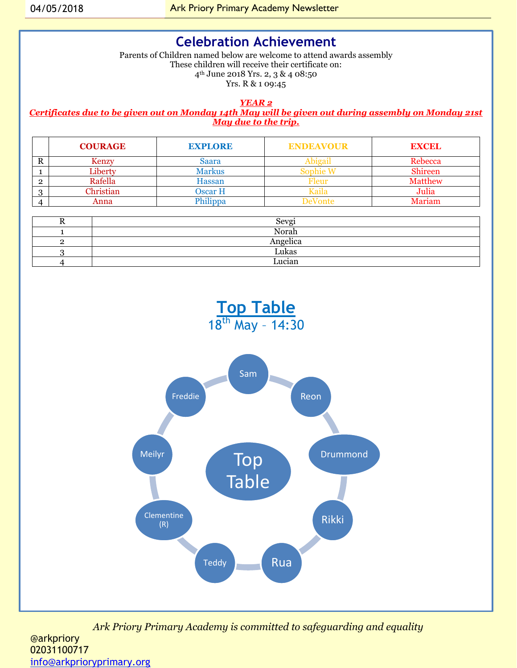#### **Celebration Achievement**

Parents of Children named below are welcome to attend awards assembly These children will receive their certificate on: 4th June 2018 Yrs. 2, 3 & 4 08:50 Yrs. R & 1 09:45

*YEAR 2*

*Certificates due to be given out on Monday 14th May will be given out during assembly on Monday 21st May due to the trip.*

|         | <b>COURAGE</b> | <b>EXPLORE</b> | <b>ENDEAVOUR</b> | <b>EXCEL</b>   |
|---------|----------------|----------------|------------------|----------------|
| D<br>л  | Kenzy          | Saara          | າາອອາ            | Rebecca        |
|         | ∠iberty        | Markus         | nnhie            | <b>Shireen</b> |
| ົ       | Rafella        | Hassan         | deur             | <b>Matthew</b> |
| $\cdot$ | Christian      | <b>Dscar H</b> | laila            | Julia          |
|         | Anna           | hilippa.       | )eVonte          | Mariam         |

| <br>Sevgi |
|-----------|
| Norah     |
| Angelica  |
| Lukas     |
| Lucian    |

**Top Table** 



*Ark Priory Primary Academy is committed to safeguarding and equality*  @arkpriory 02031100717 [info@arkprioryprimary.org](mailto:info@arkprioryprimary.org)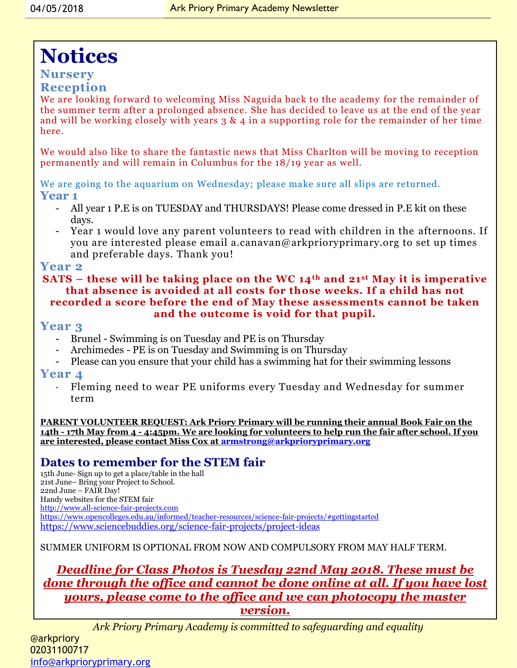## **Notices**

#### **Nursery**

#### **Reception**

We are looking forward to welcoming Miss Naguida back to the academy for the remainder of the summer term after a prolonged absence. She has decided to leave us at the end of the year and will be working closely with years 3 & 4 in a supporting role for the remainder of her time here.

We would also like to share the fantastic news that Miss Charlton will be moving to reception permanently and will remain in Columbus for the 18/19 year as well.

We are going to the aquarium on Wednesday; please make sure all slips are returned. **Year 1** 

- All year 1 P.E is on TUESDAY and THURSDAYS! Please come dressed in P.E kit on these days.
- Year 1 would love any parent volunteers to read with children in the afternoons. If you are interested please email a.canavan@arkprioryprimary.org to set up times and preferable days. Thank you!

#### **Year 2**

#### **SATS – these will be taking place on the WC 14th and 21st May it is imperative that absence is avoided at all costs for those weeks. If a child has not recorded a score before the end of May these assessments cannot be taken and the outcome is void for that pupil.**

#### **Year 3**

- Brunel Swimming is on Tuesday and PE is on Thursday
- Archimedes PE is on Tuesday and Swimming is on Thursday
- Please can you ensure that your child has a swimming hat for their swimming lessons

#### **Year 4**

- Fleming need to wear PE uniforms every Tuesday and Wednesday for summer term

**PARENT VOLUNTEER REQUEST: Ark Priory Primary will be running their annual Book Fair on the 14th - 17th May from 4 - 4:45pm. We are looking for volunteers to help run the fair after school. If you are interested, please contact Miss Cox at [armstrong@arkprioryprimary.org](mailto:armstrong@arkprioryprimary.org)**

#### **Dates to remember for the STEM fair**

15th June- Sign up to get a place/table in the hall 21st June– Bring your Project to School. 22nd June – FAIR Day! Handy websites for the STEM fair [http://www.all-science-fair-projects.com](http://www.all-science-fair-projects.com/) <https://www.opencolleges.edu.au/informed/teacher-resources/science-fair-projects/#gettingstarted> <https://www.sciencebuddies.org/science-fair-projects/project-ideas>

SUMMER UNIFORM IS OPTIONAL FROM NOW AND COMPULSORY FROM MAY HALF TERM.

#### *Deadline for Class Photos is Tuesday 22nd May 2018. These must be done through the office and cannot be done online at all. If you have lost yours, please come to the office and we can photocopy the master version.*

*Ark Priory Primary Academy is committed to safeguarding and equality*